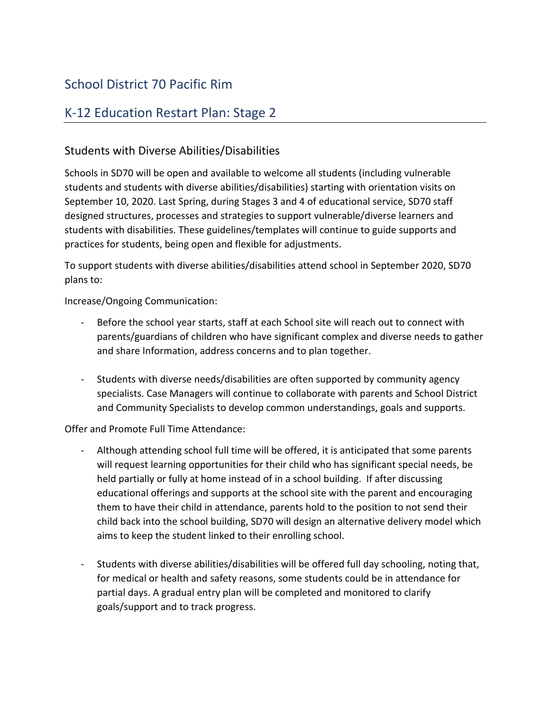# School District 70 Pacific Rim

## K-12 Education Restart Plan: Stage 2

## Students with Diverse Abilities/Disabilities

Schools in SD70 will be open and available to welcome all students (including vulnerable students and students with diverse abilities/disabilities) starting with orientation visits on September 10, 2020. Last Spring, during Stages 3 and 4 of educational service, SD70 staff designed structures, processes and strategies to support vulnerable/diverse learners and students with disabilities. These guidelines/templates will continue to guide supports and practices for students, being open and flexible for adjustments.

To support students with diverse abilities/disabilities attend school in September 2020, SD70 plans to:

Increase/Ongoing Communication:

- Before the school year starts, staff at each School site will reach out to connect with parents/guardians of children who have significant complex and diverse needs to gather and share Information, address concerns and to plan together.
- Students with diverse needs/disabilities are often supported by community agency specialists. Case Managers will continue to collaborate with parents and School District and Community Specialists to develop common understandings, goals and supports.

Offer and Promote Full Time Attendance:

- Although attending school full time will be offered, it is anticipated that some parents will request learning opportunities for their child who has significant special needs, be held partially or fully at home instead of in a school building. If after discussing educational offerings and supports at the school site with the parent and encouraging them to have their child in attendance, parents hold to the position to not send their child back into the school building, SD70 will design an alternative delivery model which aims to keep the student linked to their enrolling school.
- Students with diverse abilities/disabilities will be offered full day schooling, noting that, for medical or health and safety reasons, some students could be in attendance for partial days. A gradual entry plan will be completed and monitored to clarify goals/support and to track progress.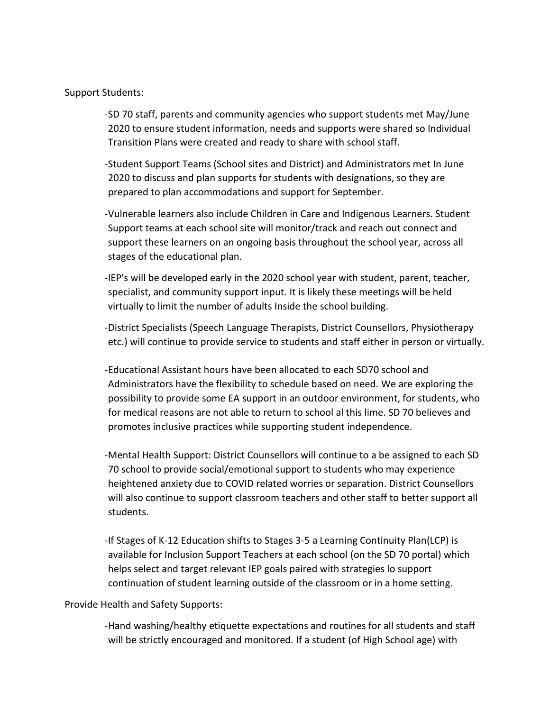### Support Students:

- -SD 70 staff, parents and community agencies who support students met May/June 2020 to ensure student information, needs and supports were shared so Individual Transition Plans were created and ready to share with school staff.
- -Student Support Teams (School sites and District) and Administrators met In June 2020 to discuss and plan supports for students with designations, so they are prepared to plan accommodations and support for September.
- -Vulnerable learners also include Children in Care and Indigenous Learners. Student Support teams at each school site will monitor/track and reach out connect and support these learners on an ongoing basis throughout the school year, across all stages of the educational plan.
- -IEP's will be developed early in the 2020 school year with student, parent, teacher, specialist, and community support input. It is likely these meetings will be held virtually to limit the number of adults Inside the school building.
- -District Specialists (Speech Language Therapists, District Counsellors, Physiotherapy etc.) will continue to provide service to students and staff either in person or virtually.
- -Educational Assistant hours have been allocated to each SD70 school and Administrators have the flexibility to schedule based on need. We are exploring the possibility to provide some EA support in an outdoor environment, for students, who for medical reasons are not able to return to school al this lime. SD 70 believes and promotes inclusive practices while supporting student independence.
- -Mental Health Support: District Counsellors will continue to a be assigned to each SD 70 school to provide social/emotional support to students who may experience heightened anxiety due to COVID related worries or separation. District Counsellors will also continue to support classroom teachers and other staff to better support all students.
- -If Stages of K-12 Education shifts to Stages 3-5 a Learning Continuity Plan(LCP) is available for Inclusion Support Teachers at each school (on the SD 70 portal) which helps select and target relevant IEP goals paired with strategies lo support continuation of student learning outside of the classroom or in a home setting.

#### Provide Health and Safety Supports:

-Hand washing/healthy etiquette expectations and routines for all students and staff will be strictly encouraged and monitored. If a student (of High School age) with